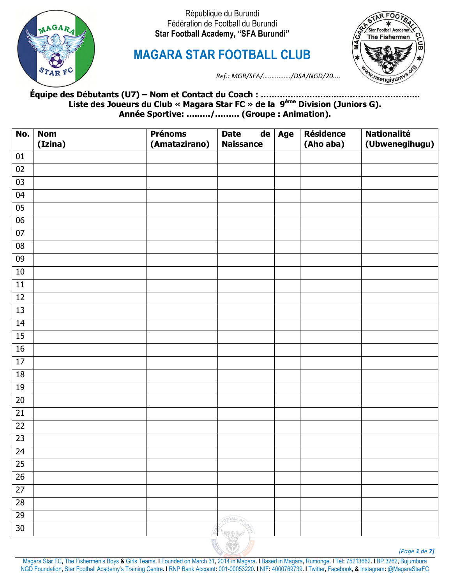

**MAGARA STAR FOOTBALL CLUB**



*Ref.: MGR/SFA/….…..……./DSA/NGD/20....*

**Équipe des Débutants (U7) – Nom et Contact du Coach : ………………………..………………………… Liste des Joueurs du Club « Magara Star FC » de la 9ème Division (Juniors G). Année Sportive: …..…./……… (Groupe : Animation).**

| No.             | <b>Nom</b><br>(Izina) | <b>Prénoms</b><br>(Amatazirano) | <b>Date</b><br><b>Naissance</b> | $\overline{de}$ Age | <b>Résidence</b><br>(Aho aba) | <b>Nationalité</b><br>(Ubwenegihugu) |
|-----------------|-----------------------|---------------------------------|---------------------------------|---------------------|-------------------------------|--------------------------------------|
| 01              |                       |                                 |                                 |                     |                               |                                      |
| $02\,$          |                       |                                 |                                 |                     |                               |                                      |
| 03              |                       |                                 |                                 |                     |                               |                                      |
| $04\,$          |                       |                                 |                                 |                     |                               |                                      |
| $05\,$          |                       |                                 |                                 |                     |                               |                                      |
| 06              |                       |                                 |                                 |                     |                               |                                      |
| $07\,$          |                       |                                 |                                 |                     |                               |                                      |
| ${\bf 08}$      |                       |                                 |                                 |                     |                               |                                      |
| 09              |                       |                                 |                                 |                     |                               |                                      |
| 10              |                       |                                 |                                 |                     |                               |                                      |
| $11\,$          |                       |                                 |                                 |                     |                               |                                      |
| $12\,$          |                       |                                 |                                 |                     |                               |                                      |
| 13              |                       |                                 |                                 |                     |                               |                                      |
| 14              |                       |                                 |                                 |                     |                               |                                      |
| 15              |                       |                                 |                                 |                     |                               |                                      |
| $16\,$          |                       |                                 |                                 |                     |                               |                                      |
| 17              |                       |                                 |                                 |                     |                               |                                      |
| $18\,$          |                       |                                 |                                 |                     |                               |                                      |
| 19              |                       |                                 |                                 |                     |                               |                                      |
| $\overline{20}$ |                       |                                 |                                 |                     |                               |                                      |
| 21              |                       |                                 |                                 |                     |                               |                                      |
| $\overline{22}$ |                       |                                 |                                 |                     |                               |                                      |
| $\overline{23}$ |                       |                                 |                                 |                     |                               |                                      |
| 24              |                       |                                 |                                 |                     |                               |                                      |
| 25              |                       |                                 |                                 |                     |                               |                                      |
| $26\,$          |                       |                                 |                                 |                     |                               |                                      |
| $\overline{27}$ |                       |                                 |                                 |                     |                               |                                      |
| 28              |                       |                                 |                                 |                     |                               |                                      |
| 29              |                       |                                 | OTBALL AC                       |                     |                               |                                      |
| $30\,$          |                       |                                 | <b>RETAIN</b>                   |                     |                               |                                      |

*[Page 1 de 7]*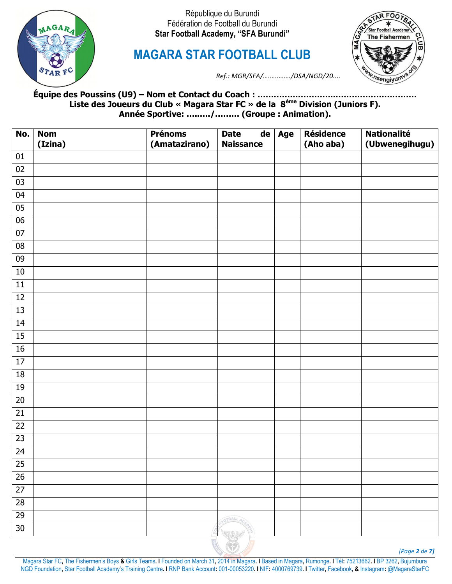

**MAGARA STAR FOOTBALL CLUB**



*Ref.: MGR/SFA/….…..……./DSA/NGD/20....*

**Équipe des Poussins (U9) – Nom et Contact du Coach : ………………………..………………………… Liste des Joueurs du Club « Magara Star FC » de la 8ème Division (Juniors F). Année Sportive: …..…./……… (Groupe : Animation).**

| No.             | <b>Nom</b><br>(Izina) | <b>Prénoms</b><br>(Amatazirano) | <b>Date</b><br><b>Naissance</b> | $de$ Age | <b>Résidence</b><br>(Aho aba) | <b>Nationalité</b><br>(Ubwenegihugu) |
|-----------------|-----------------------|---------------------------------|---------------------------------|----------|-------------------------------|--------------------------------------|
| 01              |                       |                                 |                                 |          |                               |                                      |
| $02\,$          |                       |                                 |                                 |          |                               |                                      |
| 03              |                       |                                 |                                 |          |                               |                                      |
| 04              |                       |                                 |                                 |          |                               |                                      |
| 05              |                       |                                 |                                 |          |                               |                                      |
| $\overline{06}$ |                       |                                 |                                 |          |                               |                                      |
| $07\,$          |                       |                                 |                                 |          |                               |                                      |
| ${\bf 08}$      |                       |                                 |                                 |          |                               |                                      |
| 09              |                       |                                 |                                 |          |                               |                                      |
| 10              |                       |                                 |                                 |          |                               |                                      |
| $11\,$          |                       |                                 |                                 |          |                               |                                      |
| $12\,$          |                       |                                 |                                 |          |                               |                                      |
| 13              |                       |                                 |                                 |          |                               |                                      |
| 14              |                       |                                 |                                 |          |                               |                                      |
| $\overline{15}$ |                       |                                 |                                 |          |                               |                                      |
| $16\,$          |                       |                                 |                                 |          |                               |                                      |
| $\overline{17}$ |                       |                                 |                                 |          |                               |                                      |
| $18\,$          |                       |                                 |                                 |          |                               |                                      |
| 19              |                       |                                 |                                 |          |                               |                                      |
| $20\,$          |                       |                                 |                                 |          |                               |                                      |
| $\overline{21}$ |                       |                                 |                                 |          |                               |                                      |
| $\overline{22}$ |                       |                                 |                                 |          |                               |                                      |
| $\overline{23}$ |                       |                                 |                                 |          |                               |                                      |
| $\overline{24}$ |                       |                                 |                                 |          |                               |                                      |
| 25              |                       |                                 |                                 |          |                               |                                      |
| 26              |                       |                                 |                                 |          |                               |                                      |
| $\overline{27}$ |                       |                                 |                                 |          |                               |                                      |
| 28              |                       |                                 |                                 |          |                               |                                      |
| 29              |                       |                                 | OTBALL AC                       |          |                               |                                      |
| $30\,$          |                       |                                 | $\leftarrow$                    |          |                               |                                      |

*[Page 2 de 7]*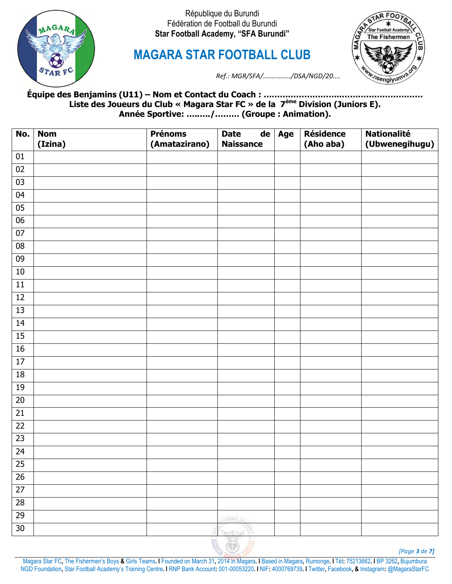

**MAGARA STAR FOOTBALL CLUB**



*Ref.: MGR/SFA/….…..……./DSA/NGD/20....*

## **Équipe des Benjamins (U11) – Nom et Contact du Coach : ………………………..………………………… Liste des Joueurs du Club « Magara Star FC » de la 7ème Division (Juniors E). Année Sportive: …..…./……… (Groupe : Animation).**

| No.             | <b>Nom</b><br>(Izina) | <b>Prénoms</b><br>(Amatazirano) | <b>Date</b><br><b>Naissance</b> | $de$ Age | <b>Résidence</b><br>(Aho aba) | <b>Nationalité</b><br>(Ubwenegihugu) |
|-----------------|-----------------------|---------------------------------|---------------------------------|----------|-------------------------------|--------------------------------------|
| 01              |                       |                                 |                                 |          |                               |                                      |
| 02              |                       |                                 |                                 |          |                               |                                      |
| 03              |                       |                                 |                                 |          |                               |                                      |
| 04              |                       |                                 |                                 |          |                               |                                      |
| $05\,$          |                       |                                 |                                 |          |                               |                                      |
| 06              |                       |                                 |                                 |          |                               |                                      |
| $07\,$          |                       |                                 |                                 |          |                               |                                      |
| ${\bf 08}$      |                       |                                 |                                 |          |                               |                                      |
| 09              |                       |                                 |                                 |          |                               |                                      |
| 10              |                       |                                 |                                 |          |                               |                                      |
| $11\,$          |                       |                                 |                                 |          |                               |                                      |
| 12              |                       |                                 |                                 |          |                               |                                      |
| 13              |                       |                                 |                                 |          |                               |                                      |
| 14              |                       |                                 |                                 |          |                               |                                      |
| 15              |                       |                                 |                                 |          |                               |                                      |
| 16              |                       |                                 |                                 |          |                               |                                      |
| 17              |                       |                                 |                                 |          |                               |                                      |
| $18\,$          |                       |                                 |                                 |          |                               |                                      |
| 19              |                       |                                 |                                 |          |                               |                                      |
| $\overline{20}$ |                       |                                 |                                 |          |                               |                                      |
| 21              |                       |                                 |                                 |          |                               |                                      |
| $\overline{22}$ |                       |                                 |                                 |          |                               |                                      |
| $\overline{23}$ |                       |                                 |                                 |          |                               |                                      |
| 24              |                       |                                 |                                 |          |                               |                                      |
| 25              |                       |                                 |                                 |          |                               |                                      |
| $26\,$          |                       |                                 |                                 |          |                               |                                      |
| $\overline{27}$ |                       |                                 |                                 |          |                               |                                      |
| $\overline{28}$ |                       |                                 |                                 |          |                               |                                      |
| 29              |                       |                                 | OTBALL AC                       |          |                               |                                      |
| 30              |                       |                                 | <b>SECTION</b>                  |          |                               |                                      |

*[Page 3 de 7]*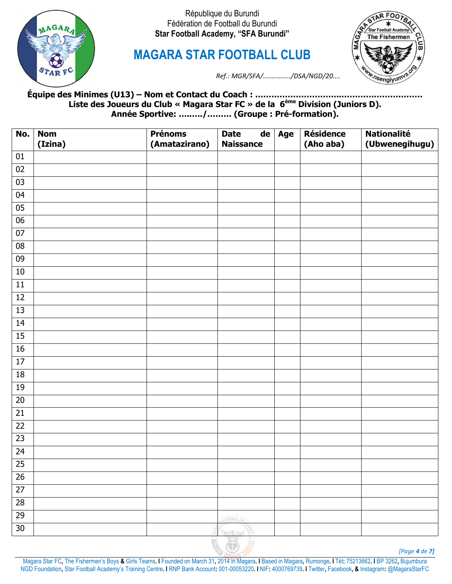

**MAGARA STAR FOOTBALL CLUB**



*Ref.: MGR/SFA/….…..……./DSA/NGD/20....*

**Équipe des Minimes (U13) – Nom et Contact du Coach : …………………………..………………………… Liste des Joueurs du Club « Magara Star FC » de la 6ème Division (Juniors D). Année Sportive: …..…./……… (Groupe : Pré-formation).**

| No.             | <b>Nom</b><br>(Izina) | <b>Prénoms</b><br>(Amatazirano) | <b>Date</b><br><b>Naissance</b> | $\overline{\mathsf{de}}$ Age | <b>Résidence</b><br>(Aho aba) | <b>Nationalité</b><br>(Ubwenegihugu) |
|-----------------|-----------------------|---------------------------------|---------------------------------|------------------------------|-------------------------------|--------------------------------------|
| 01              |                       |                                 |                                 |                              |                               |                                      |
| 02              |                       |                                 |                                 |                              |                               |                                      |
| $03\,$          |                       |                                 |                                 |                              |                               |                                      |
| $04\,$          |                       |                                 |                                 |                              |                               |                                      |
| 05              |                       |                                 |                                 |                              |                               |                                      |
| 06              |                       |                                 |                                 |                              |                               |                                      |
| $07\,$          |                       |                                 |                                 |                              |                               |                                      |
| ${\bf 08}$      |                       |                                 |                                 |                              |                               |                                      |
| 09              |                       |                                 |                                 |                              |                               |                                      |
| 10              |                       |                                 |                                 |                              |                               |                                      |
| $11\,$          |                       |                                 |                                 |                              |                               |                                      |
| 12              |                       |                                 |                                 |                              |                               |                                      |
| 13              |                       |                                 |                                 |                              |                               |                                      |
| 14              |                       |                                 |                                 |                              |                               |                                      |
| 15              |                       |                                 |                                 |                              |                               |                                      |
| 16              |                       |                                 |                                 |                              |                               |                                      |
| $\overline{17}$ |                       |                                 |                                 |                              |                               |                                      |
| 18              |                       |                                 |                                 |                              |                               |                                      |
| 19              |                       |                                 |                                 |                              |                               |                                      |
| $\overline{20}$ |                       |                                 |                                 |                              |                               |                                      |
| $\overline{21}$ |                       |                                 |                                 |                              |                               |                                      |
| $\overline{22}$ |                       |                                 |                                 |                              |                               |                                      |
| $\overline{23}$ |                       |                                 |                                 |                              |                               |                                      |
| 24              |                       |                                 |                                 |                              |                               |                                      |
| $25\,$          |                       |                                 |                                 |                              |                               |                                      |
| $\overline{26}$ |                       |                                 |                                 |                              |                               |                                      |
| $\overline{27}$ |                       |                                 |                                 |                              |                               |                                      |
| 28              |                       |                                 |                                 |                              |                               |                                      |
| 29              |                       |                                 | OTBALL AC                       |                              |                               |                                      |
| 30              |                       |                                 | <b>SERVICE</b>                  |                              |                               |                                      |

*[Page 4 de 7]*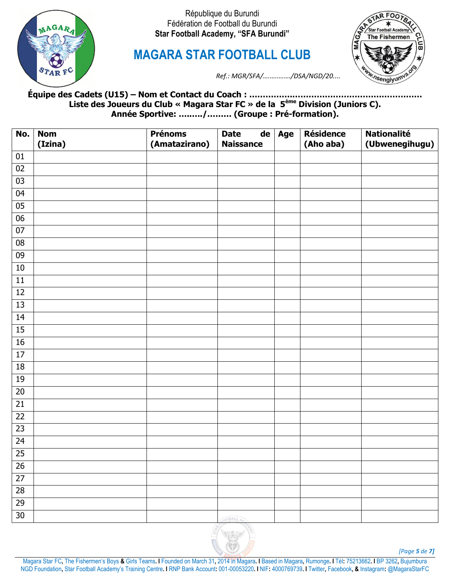

**MAGARA STAR FOOTBALL CLUB**



*Ref.: MGR/SFA/….…..……./DSA/NGD/20....*

**Équipe des Cadets (U15) – Nom et Contact du Coach : …………….………………………………………… Liste des Joueurs du Club « Magara Star FC » de la 5ème Division (Juniors C). Année Sportive: …..…./……… (Groupe : Pré-formation).**

| No.             | <b>Nom</b><br>(Izina) | <b>Prénoms</b><br>(Amatazirano) | <b>Date</b><br><b>Naissance</b> | $de$ Age | <b>Résidence</b><br>(Aho aba) | <b>Nationalité</b><br>(Ubwenegihugu) |
|-----------------|-----------------------|---------------------------------|---------------------------------|----------|-------------------------------|--------------------------------------|
| 01              |                       |                                 |                                 |          |                               |                                      |
| $02\,$          |                       |                                 |                                 |          |                               |                                      |
| $03\,$          |                       |                                 |                                 |          |                               |                                      |
| 04              |                       |                                 |                                 |          |                               |                                      |
| 05              |                       |                                 |                                 |          |                               |                                      |
| $06\,$          |                       |                                 |                                 |          |                               |                                      |
| $\overline{07}$ |                       |                                 |                                 |          |                               |                                      |
| ${\bf 08}$      |                       |                                 |                                 |          |                               |                                      |
| 09              |                       |                                 |                                 |          |                               |                                      |
| $10\,$          |                       |                                 |                                 |          |                               |                                      |
| $11\,$          |                       |                                 |                                 |          |                               |                                      |
| $12\,$          |                       |                                 |                                 |          |                               |                                      |
| 13              |                       |                                 |                                 |          |                               |                                      |
| 14              |                       |                                 |                                 |          |                               |                                      |
| 15              |                       |                                 |                                 |          |                               |                                      |
| 16              |                       |                                 |                                 |          |                               |                                      |
| $17\,$          |                       |                                 |                                 |          |                               |                                      |
| $18\,$          |                       |                                 |                                 |          |                               |                                      |
| 19              |                       |                                 |                                 |          |                               |                                      |
| $20\,$          |                       |                                 |                                 |          |                               |                                      |
| 21              |                       |                                 |                                 |          |                               |                                      |
| 22              |                       |                                 |                                 |          |                               |                                      |
| 23              |                       |                                 |                                 |          |                               |                                      |
| 24              |                       |                                 |                                 |          |                               |                                      |
| $\overline{25}$ |                       |                                 |                                 |          |                               |                                      |
| $26\,$          |                       |                                 |                                 |          |                               |                                      |
| $\overline{27}$ |                       |                                 |                                 |          |                               |                                      |
| 28              |                       |                                 |                                 |          |                               |                                      |
| 29              |                       |                                 |                                 |          |                               |                                      |
| 30              |                       |                                 | OTBALL AC                       |          |                               |                                      |



*[Page 5 de 7]*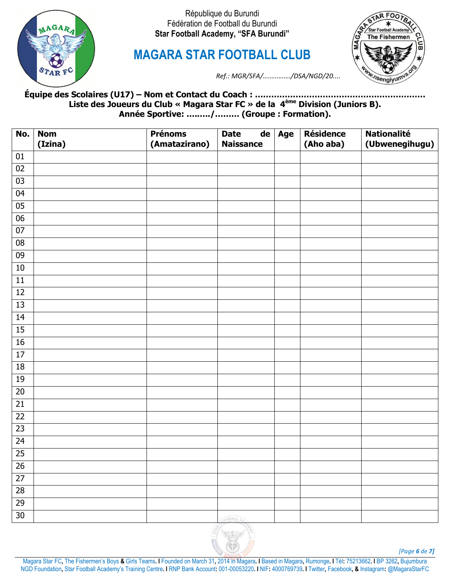

**MAGARA STAR FOOTBALL CLUB**



*Ref.: MGR/SFA/….…..……./DSA/NGD/20....*

**Équipe des Scolaires (U17) – Nom et Contact du Coach : ……………………………………………………… Liste des Joueurs du Club « Magara Star FC » de la 4ème Division (Juniors B). Année Sportive: …..…./……… (Groupe : Formation).**

| No.             | <b>Nom</b> | <b>Prénoms</b> | de <br><b>Date</b> | Age | <b>Résidence</b> | <b>Nationalité</b> |
|-----------------|------------|----------------|--------------------|-----|------------------|--------------------|
|                 | (Izina)    | (Amatazirano)  | <b>Naissance</b>   |     | (Aho aba)        | (Ubwenegihugu)     |
| $01\,$          |            |                |                    |     |                  |                    |
| $02\,$          |            |                |                    |     |                  |                    |
| 03              |            |                |                    |     |                  |                    |
| 04              |            |                |                    |     |                  |                    |
| 05              |            |                |                    |     |                  |                    |
| $06\,$          |            |                |                    |     |                  |                    |
| $07\,$          |            |                |                    |     |                  |                    |
| $\overline{08}$ |            |                |                    |     |                  |                    |
| 09              |            |                |                    |     |                  |                    |
| $10\,$          |            |                |                    |     |                  |                    |
| $11\,$          |            |                |                    |     |                  |                    |
| $12\,$          |            |                |                    |     |                  |                    |
| $\overline{13}$ |            |                |                    |     |                  |                    |
| 14              |            |                |                    |     |                  |                    |
| 15              |            |                |                    |     |                  |                    |
| $16\,$          |            |                |                    |     |                  |                    |
| $17\,$          |            |                |                    |     |                  |                    |
| 18              |            |                |                    |     |                  |                    |
| 19              |            |                |                    |     |                  |                    |
| $20\,$          |            |                |                    |     |                  |                    |
| $\overline{21}$ |            |                |                    |     |                  |                    |
| 22              |            |                |                    |     |                  |                    |
| $\overline{23}$ |            |                |                    |     |                  |                    |
| 24              |            |                |                    |     |                  |                    |
| 25              |            |                |                    |     |                  |                    |
| $26\,$          |            |                |                    |     |                  |                    |
| $27$            |            |                |                    |     |                  |                    |
| 28              |            |                |                    |     |                  |                    |
| 29              |            |                |                    |     |                  |                    |
| $30\,$          |            |                | OTBALL AC          |     |                  |                    |



*[Page 6 de 7]*